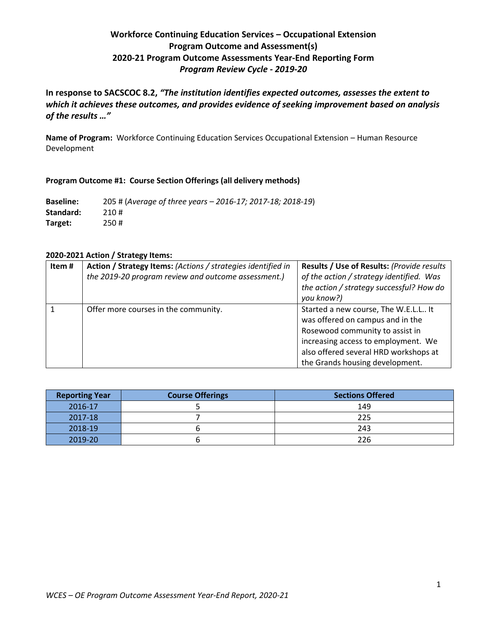# **Workforce Continuing Education Services – Occupational Extension Program Outcome and Assessment(s) 2020-21 Program Outcome Assessments Year-End Reporting Form** *Program Review Cycle - 2019-20*

**In response to SACSCOC 8.2,** *"The institution identifies expected outcomes, assesses the extent to which it achieves these outcomes, and provides evidence of seeking improvement based on analysis of the results …"*

**Name of Program:** Workforce Continuing Education Services Occupational Extension – Human Resource Development

# **Program Outcome #1: Course Section Offerings (all delivery methods)**

**Baseline:** 205 # (*Average of three years – 2016-17; 2017-18; 2018-19*) **Standard:** 210 # **Target:** 250 #

# **2020-2021 Action / Strategy Items:**

| Item # | Action / Strategy Items: (Actions / strategies identified in<br>the 2019-20 program review and outcome assessment.) | Results / Use of Results: (Provide results<br>of the action / strategy identified. Was<br>the action / strategy successful? How do<br>you know?)                                                                               |
|--------|---------------------------------------------------------------------------------------------------------------------|--------------------------------------------------------------------------------------------------------------------------------------------------------------------------------------------------------------------------------|
|        | Offer more courses in the community.                                                                                | Started a new course, The W.E.L.L It<br>was offered on campus and in the<br>Rosewood community to assist in<br>increasing access to employment. We<br>also offered several HRD workshops at<br>the Grands housing development. |

| <b>Reporting Year</b> | <b>Course Offerings</b> | <b>Sections Offered</b> |
|-----------------------|-------------------------|-------------------------|
| 2016-17               |                         | 149                     |
| 2017-18               |                         | 225                     |
| 2018-19               |                         | 243                     |
| 2019-20               |                         | 226                     |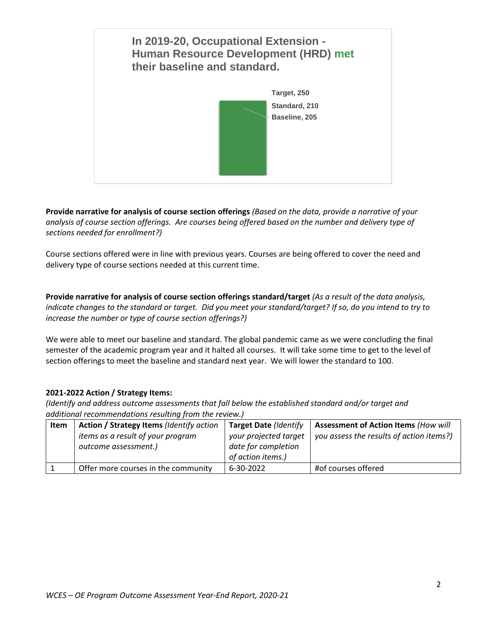

**Provide narrative for analysis of course section offerings** *(Based on the data, provide a narrative of your analysis of course section offerings. Are courses being offered based on the number and delivery type of sections needed for enrollment?)*

Course sections offered were in line with previous years. Courses are being offered to cover the need and delivery type of course sections needed at this current time.

**Provide narrative for analysis of course section offerings standard/target** *(As a result of the data analysis, indicate changes to the standard or target. Did you meet your standard/target? If so, do you intend to try to increase the number or type of course section offerings?)*

We were able to meet our baseline and standard. The global pandemic came as we were concluding the final semester of the academic program year and it halted all courses. It will take some time to get to the level of section offerings to meet the baseline and standard next year. We will lower the standard to 100.

# **2021-2022 Action / Strategy Items:**

| Item | Action / Strategy Items (Identify action | <b>Target Date (Identify</b> | <b>Assessment of Action Items (How will</b> |
|------|------------------------------------------|------------------------------|---------------------------------------------|
|      | items as a result of your program        | your projected target        | you assess the results of action items?)    |
|      | outcome assessment.)                     | date for completion          |                                             |
|      |                                          | of action items.)            |                                             |
|      | Offer more courses in the community      | 6-30-2022                    | #of courses offered                         |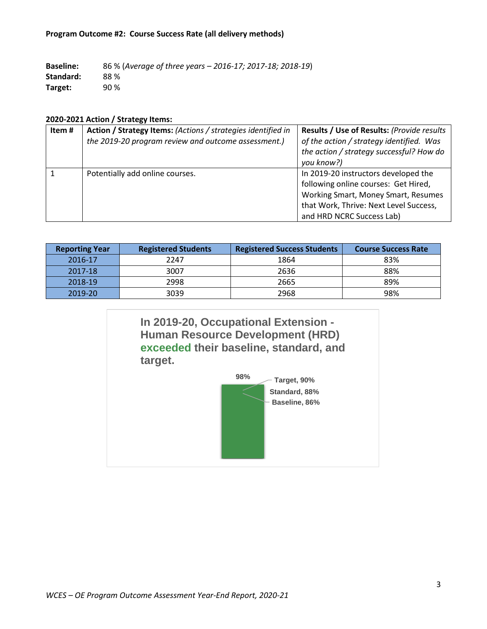#### **Program Outcome #2: Course Success Rate (all delivery methods)**

**Baseline:** 86 % (*Average of three years – 2016-17; 2017-18; 2018-19*) **Standard:** 88 % **Target:** 90 %

#### **2020-2021 Action / Strategy Items:**

| Item# | Action / Strategy Items: (Actions / strategies identified in<br>the 2019-20 program review and outcome assessment.) | Results / Use of Results: (Provide results<br>of the action / strategy identified. Was<br>the action / strategy successful? How do<br>you know?)                                           |
|-------|---------------------------------------------------------------------------------------------------------------------|--------------------------------------------------------------------------------------------------------------------------------------------------------------------------------------------|
|       | Potentially add online courses.                                                                                     | In 2019-20 instructors developed the<br>following online courses: Get Hired,<br>Working Smart, Money Smart, Resumes<br>that Work, Thrive: Next Level Success,<br>and HRD NCRC Success Lab) |

| <b>Reporting Year</b> | <b>Registered Students</b> | <b>Registered Success Students</b> | <b>Course Success Rate</b> |
|-----------------------|----------------------------|------------------------------------|----------------------------|
| 2016-17               | 2247                       | 1864                               | 83%                        |
| 2017-18               | 3007                       | 2636                               | 88%                        |
| 2018-19               | 2998                       | 2665                               | 89%                        |
| 2019-20               | 3039                       | 2968                               | 98%                        |

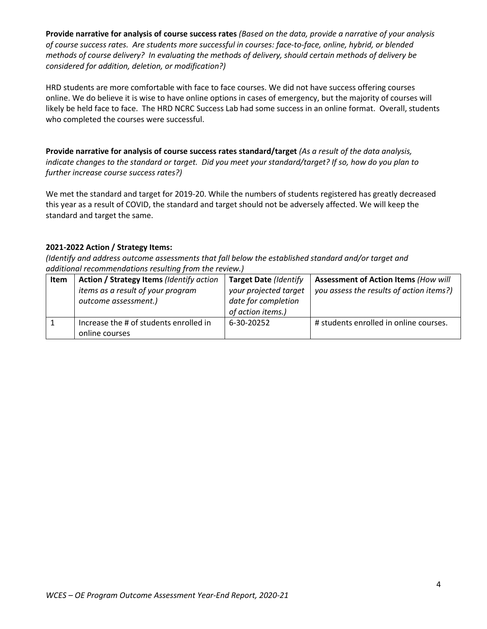**Provide narrative for analysis of course success rates** *(Based on the data, provide a narrative of your analysis of course success rates. Are students more successful in courses: face-to-face, online, hybrid, or blended methods of course delivery? In evaluating the methods of delivery, should certain methods of delivery be considered for addition, deletion, or modification?)*

HRD students are more comfortable with face to face courses. We did not have success offering courses online. We do believe it is wise to have online options in cases of emergency, but the majority of courses will likely be held face to face. The HRD NCRC Success Lab had some success in an online format. Overall, students who completed the courses were successful.

**Provide narrative for analysis of course success rates standard/target** *(As a result of the data analysis, indicate changes to the standard or target. Did you meet your standard/target? If so, how do you plan to further increase course success rates?)*

We met the standard and target for 2019-20. While the numbers of students registered has greatly decreased this year as a result of COVID, the standard and target should not be adversely affected. We will keep the standard and target the same.

# **2021-2022 Action / Strategy Items:**

| Item | Action / Strategy Items (Identify action | <b>Target Date (Identify</b> | <b>Assessment of Action Items (How will</b> |
|------|------------------------------------------|------------------------------|---------------------------------------------|
|      | items as a result of your program        | your projected target        | you assess the results of action items?)    |
|      | outcome assessment.)                     | date for completion          |                                             |
|      |                                          | of action items.)            |                                             |
|      | Increase the # of students enrolled in   | 6-30-20252                   | # students enrolled in online courses.      |
|      | online courses                           |                              |                                             |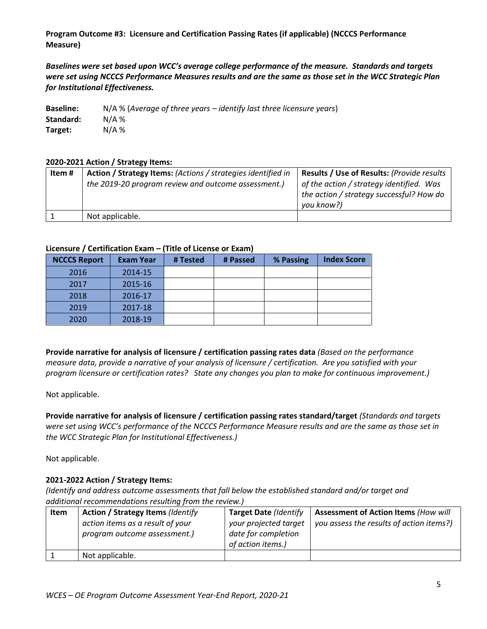**Program Outcome #3: Licensure and Certification Passing Rates (if applicable) (NCCCS Performance Measure)**

*Baselines were set based upon WCC's average college performance of the measure. Standards and targets were set using NCCCS Performance Measures results and are the same as those set in the WCC Strategic Plan for Institutional Effectiveness.*

| <b>Baseline:</b> | $N/A$ % (Average of three years – identify last three licensure years) |
|------------------|------------------------------------------------------------------------|
| Standard:        | $N/A$ %                                                                |
| Target:          | $N/A$ %                                                                |

# **2020-2021 Action / Strategy Items:**

| Item # | Action / Strategy Items: (Actions / strategies identified in | Results / Use of Results: (Provide results                                                         |
|--------|--------------------------------------------------------------|----------------------------------------------------------------------------------------------------|
|        | the 2019-20 program review and outcome assessment.)          | of the action / strategy identified. Was<br>the action / strategy successful? How do<br>you know?) |
|        | Not applicable.                                              |                                                                                                    |

#### **Licensure / Certification Exam – (Title of License or Exam)**

| <b>NCCCS Report</b> | <b>Exam Year</b> | # Tested | # Passed | % Passing | <b>Index Score</b> |
|---------------------|------------------|----------|----------|-----------|--------------------|
| 2016                | 2014-15          |          |          |           |                    |
| 2017                | 2015-16          |          |          |           |                    |
| 2018                | 2016-17          |          |          |           |                    |
| 2019                | 2017-18          |          |          |           |                    |
| 2020                | 2018-19          |          |          |           |                    |

**Provide narrative for analysis of licensure / certification passing rates data** *(Based on the performance measure data, provide a narrative of your analysis of licensure / certification. Are you satisfied with your program licensure or certification rates? State any changes you plan to make for continuous improvement.)*

Not applicable.

**Provide narrative for analysis of licensure / certification passing rates standard/target** *(Standards and targets were set using WCC's performance of the NCCCS Performance Measure results and are the same as those set in the WCC Strategic Plan for Institutional Effectiveness.)*

Not applicable.

# **2021-2022 Action / Strategy Items:**

| Item | <b>Action / Strategy Items (Identify</b>                         | <b>Target Date (Identify</b>                                      | <b>Assessment of Action Items (How will</b> |
|------|------------------------------------------------------------------|-------------------------------------------------------------------|---------------------------------------------|
|      | action items as a result of your<br>program outcome assessment.) | your projected target<br>date for completion<br>of action items.) | you assess the results of action items?)    |
|      | Not applicable.                                                  |                                                                   |                                             |